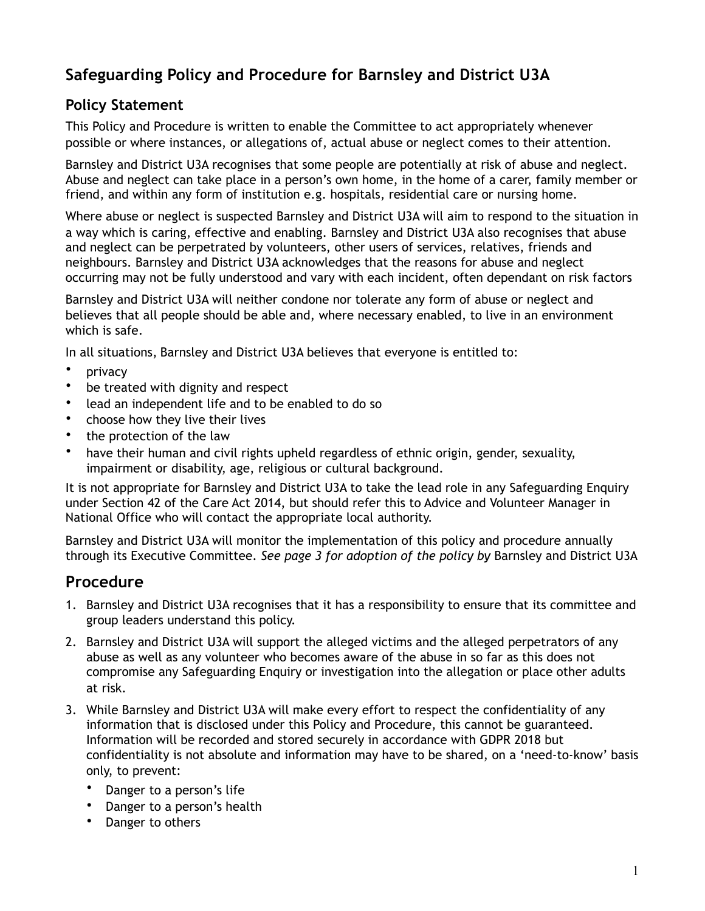# **Safeguarding Policy and Procedure for Barnsley and District U3A**

## **Policy Statement**

This Policy and Procedure is written to enable the Committee to act appropriately whenever possible or where instances, or allegations of, actual abuse or neglect comes to their attention.

Barnsley and District U3A recognises that some people are potentially at risk of abuse and neglect. Abuse and neglect can take place in a person's own home, in the home of a carer, family member or friend, and within any form of institution e.g. hospitals, residential care or nursing home.

Where abuse or neglect is suspected Barnsley and District U3A will aim to respond to the situation in a way which is caring, effective and enabling. Barnsley and District U3A also recognises that abuse and neglect can be perpetrated by volunteers, other users of services, relatives, friends and neighbours. Barnsley and District U3A acknowledges that the reasons for abuse and neglect occurring may not be fully understood and vary with each incident, often dependant on risk factors

Barnsley and District U3A will neither condone nor tolerate any form of abuse or neglect and believes that all people should be able and, where necessary enabled, to live in an environment which is safe.

In all situations, Barnsley and District U3A believes that everyone is entitled to:

- privacy
- be treated with dignity and respect
- lead an independent life and to be enabled to do so
- choose how they live their lives
- the protection of the law
- have their human and civil rights upheld regardless of ethnic origin, gender, sexuality, impairment or disability, age, religious or cultural background.

It is not appropriate for Barnsley and District U3A to take the lead role in any Safeguarding Enquiry under Section 42 of the Care Act 2014, but should refer this to Advice and Volunteer Manager in National Office who will contact the appropriate local authority.

Barnsley and District U3A will monitor the implementation of this policy and procedure annually through its Executive Committee. *See page 3 for adoption of the policy by* Barnsley and District U3A

## **Procedure**

- 1. Barnsley and District U3A recognises that it has a responsibility to ensure that its committee and group leaders understand this policy.
- 2. Barnsley and District U3A will support the alleged victims and the alleged perpetrators of any abuse as well as any volunteer who becomes aware of the abuse in so far as this does not compromise any Safeguarding Enquiry or investigation into the allegation or place other adults at risk.
- 3. While Barnsley and District U3A will make every effort to respect the confidentiality of any information that is disclosed under this Policy and Procedure, this cannot be guaranteed. Information will be recorded and stored securely in accordance with GDPR 2018 but confidentiality is not absolute and information may have to be shared, on a 'need-to-know' basis only, to prevent:
	- Danger to a person's life
	- Danger to a person's health
	- Danger to others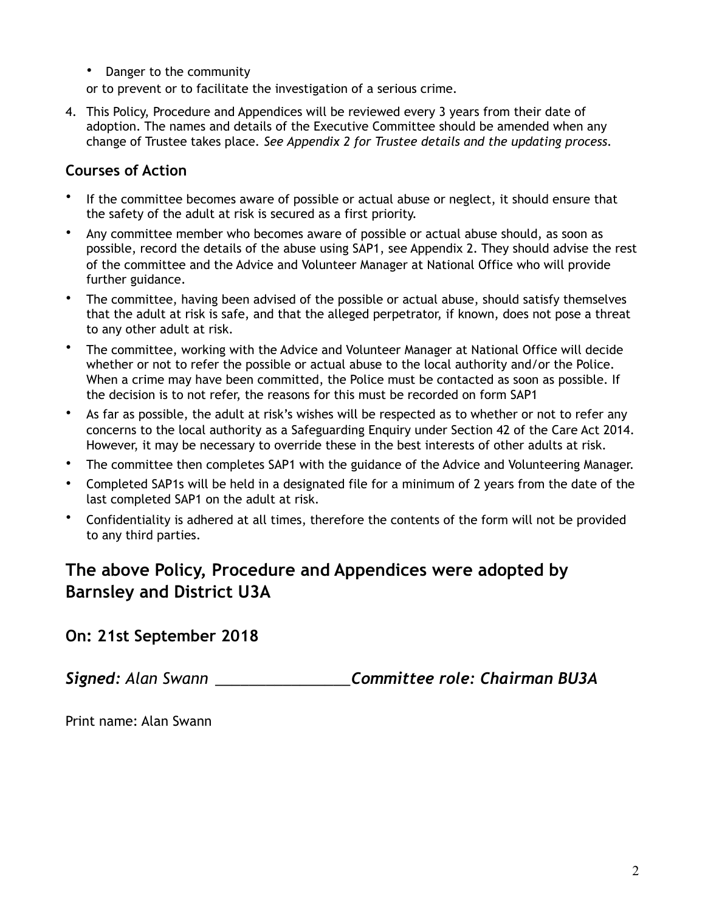• Danger to the community

or to prevent or to facilitate the investigation of a serious crime.

4. This Policy, Procedure and Appendices will be reviewed every 3 years from their date of adoption. The names and details of the Executive Committee should be amended when any change of Trustee takes place*. See Appendix 2 for Trustee details and the updating process.*

#### **Courses of Action**

- If the committee becomes aware of possible or actual abuse or neglect, it should ensure that the safety of the adult at risk is secured as a first priority.
- Any committee member who becomes aware of possible or actual abuse should, as soon as possible, record the details of the abuse using SAP1, see Appendix 2. They should advise the rest of the committee and the Advice and Volunteer Manager at National Office who will provide further guidance.
- The committee, having been advised of the possible or actual abuse, should satisfy themselves that the adult at risk is safe, and that the alleged perpetrator, if known, does not pose a threat to any other adult at risk.
- The committee, working with the Advice and Volunteer Manager at National Office will decide whether or not to refer the possible or actual abuse to the local authority and/or the Police. When a crime may have been committed, the Police must be contacted as soon as possible. If the decision is to not refer, the reasons for this must be recorded on form SAP1
- As far as possible, the adult at risk's wishes will be respected as to whether or not to refer any concerns to the local authority as a Safeguarding Enquiry under Section 42 of the Care Act 2014. However, it may be necessary to override these in the best interests of other adults at risk.
- The committee then completes SAP1 with the guidance of the Advice and Volunteering Manager.
- Completed SAP1s will be held in a designated file for a minimum of 2 years from the date of the last completed SAP1 on the adult at risk.
- Confidentiality is adhered at all times, therefore the contents of the form will not be provided to any third parties.

# **The above Policy, Procedure and Appendices were adopted by Barnsley and District U3A**

### **On: 21st September 2018**

*Signed: Alan Swann \_\_\_\_\_\_\_\_\_\_\_\_\_\_\_\_Committee role: Chairman BU3A*

Print name: Alan Swann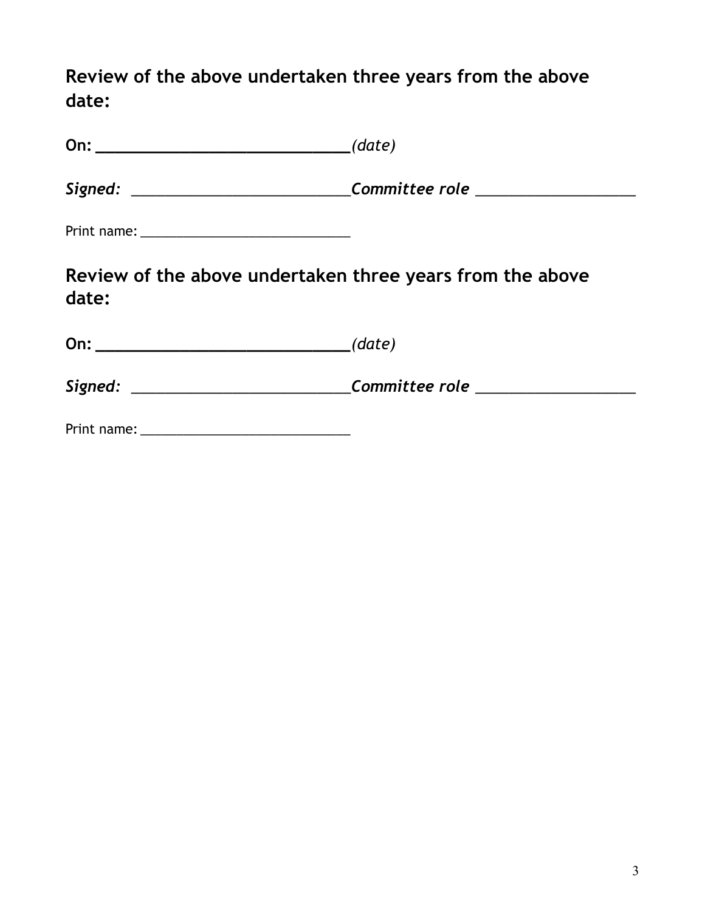**Review of the above undertaken three years from the above date:** 

| On: $(date)$                                                       |                                                                                  |
|--------------------------------------------------------------------|----------------------------------------------------------------------------------|
|                                                                    | Signed: _______________________________Committee role __________________________ |
|                                                                    |                                                                                  |
| Review of the above undertaken three years from the above<br>date: |                                                                                  |
|                                                                    |                                                                                  |
|                                                                    | Signed: _______________________________Committee role _____________________      |
|                                                                    |                                                                                  |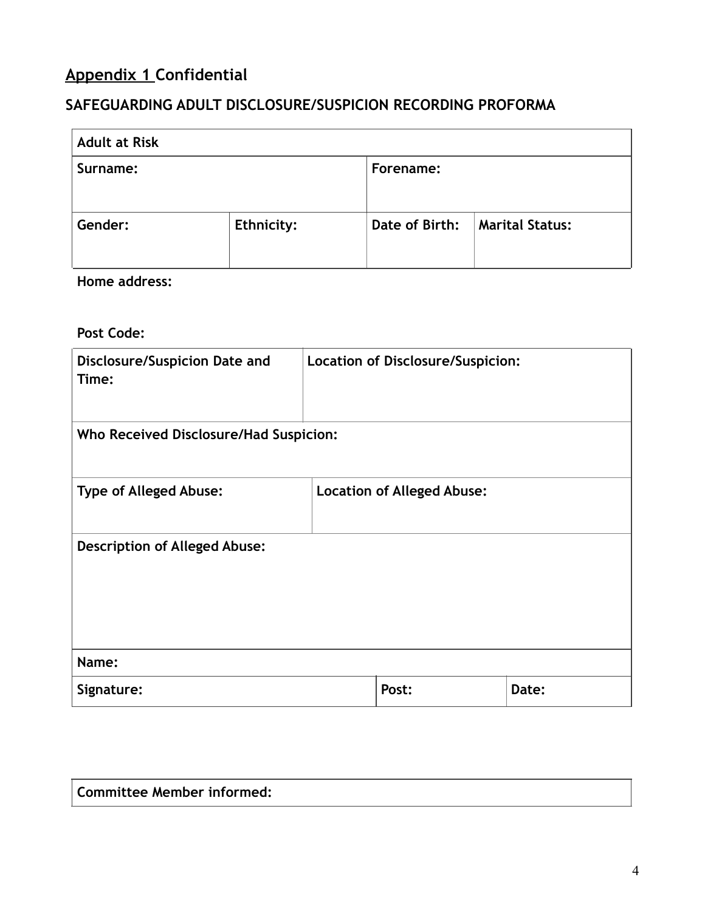# **Appendix 1 Confidential**

## **SAFEGUARDING ADULT DISCLOSURE/SUSPICION RECORDING PROFORMA**

| <b>Adult at Risk</b> |            |                |                        |
|----------------------|------------|----------------|------------------------|
| Surname:             |            | Forename:      |                        |
| Gender:              | Ethnicity: | Date of Birth: | <b>Marital Status:</b> |

**Home address:** 

**Post Code:**

| <b>Disclosure/Suspicion Date and</b><br>Time: | Location of Disclosure/Suspicion: |                                   |       |
|-----------------------------------------------|-----------------------------------|-----------------------------------|-------|
| Who Received Disclosure/Had Suspicion:        |                                   |                                   |       |
| <b>Type of Alleged Abuse:</b>                 |                                   | <b>Location of Alleged Abuse:</b> |       |
| <b>Description of Alleged Abuse:</b>          |                                   |                                   |       |
| Name:                                         |                                   |                                   |       |
| Signature:                                    |                                   | Post:                             | Date: |

**Committee Member informed:**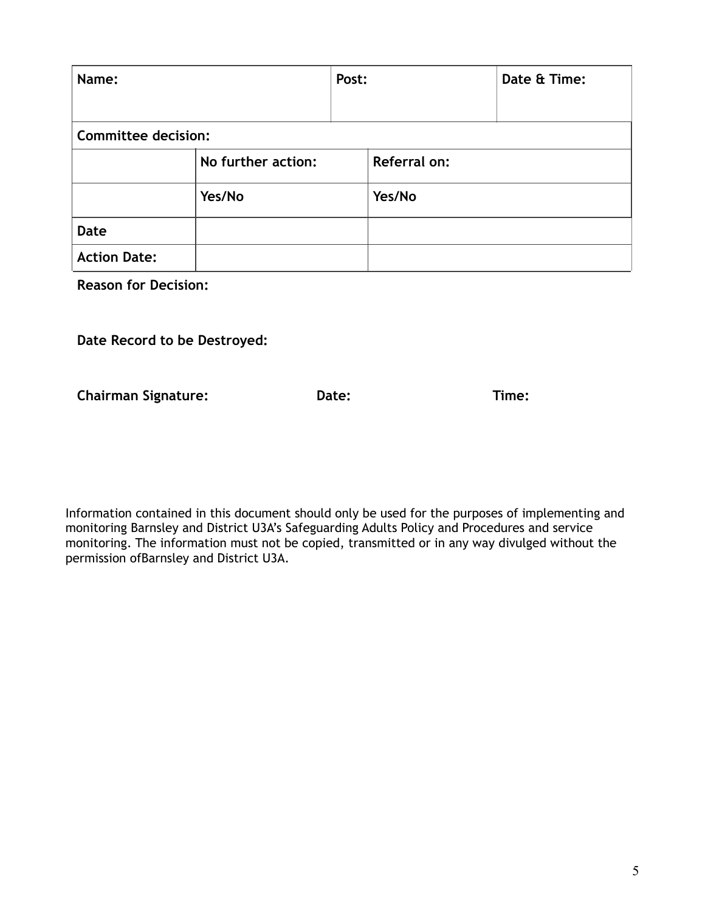| Name:                      |                    | Post: |              | Date & Time: |
|----------------------------|--------------------|-------|--------------|--------------|
| <b>Committee decision:</b> |                    |       |              |              |
|                            | No further action: |       | Referral on: |              |
|                            | Yes/No             |       | Yes/No       |              |
| <b>Date</b>                |                    |       |              |              |
| <b>Action Date:</b>        |                    |       |              |              |

**Reason for Decision:** 

**Date Record to be Destroyed:**

**Chairman Signature: Date: Time:**

Information contained in this document should only be used for the purposes of implementing and monitoring Barnsley and District U3A's Safeguarding Adults Policy and Procedures and service monitoring. The information must not be copied, transmitted or in any way divulged without the permission ofBarnsley and District U3A.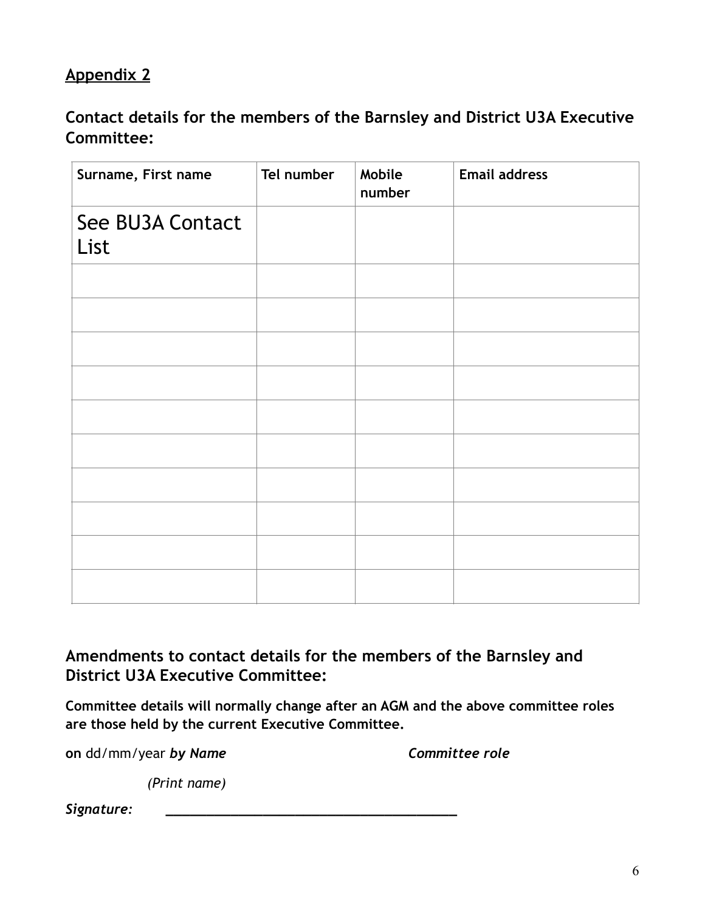# **Appendix 2**

**Contact details for the members of the Barnsley and District U3A Executive Committee:** 

| Surname, First name      | Tel number | Mobile<br>number | <b>Email address</b> |
|--------------------------|------------|------------------|----------------------|
| See BU3A Contact<br>List |            |                  |                      |
|                          |            |                  |                      |
|                          |            |                  |                      |
|                          |            |                  |                      |
|                          |            |                  |                      |
|                          |            |                  |                      |
|                          |            |                  |                      |
|                          |            |                  |                      |
|                          |            |                  |                      |
|                          |            |                  |                      |
|                          |            |                  |                      |

## **Amendments to contact details for the members of the Barnsley and District U3A Executive Committee:**

**Committee details will normally change after an AGM and the above committee roles are those held by the current Executive Committee.** 

**on**  $dd/mm/year$  **by Name Committee role** 

 *(Print name)*

 $Signature:$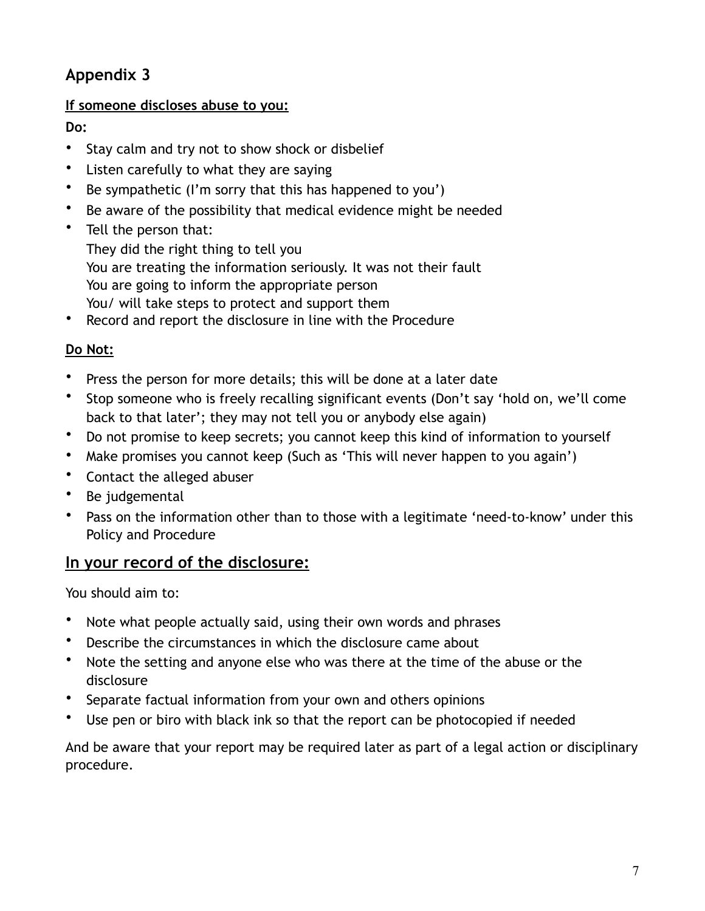# **Appendix 3**

### **If someone discloses abuse to you:**

**Do:** 

- Stay calm and try not to show shock or disbelief
- Listen carefully to what they are saying
- Be sympathetic (I'm sorry that this has happened to you')
- Be aware of the possibility that medical evidence might be needed
- Tell the person that:

They did the right thing to tell you You are treating the information seriously. It was not their fault You are going to inform the appropriate person You/ will take steps to protect and support them

• Record and report the disclosure in line with the Procedure

## **Do Not:**

- Press the person for more details; this will be done at a later date
- Stop someone who is freely recalling significant events (Don't say 'hold on, we'll come back to that later'; they may not tell you or anybody else again)
- Do not promise to keep secrets; you cannot keep this kind of information to yourself
- Make promises you cannot keep (Such as 'This will never happen to you again')
- Contact the alleged abuser
- Be judgemental
- Pass on the information other than to those with a legitimate 'need-to-know' under this Policy and Procedure

## **In your record of the disclosure:**

You should aim to:

- Note what people actually said, using their own words and phrases
- Describe the circumstances in which the disclosure came about
- Note the setting and anyone else who was there at the time of the abuse or the disclosure
- Separate factual information from your own and others opinions
- Use pen or biro with black ink so that the report can be photocopied if needed

And be aware that your report may be required later as part of a legal action or disciplinary procedure.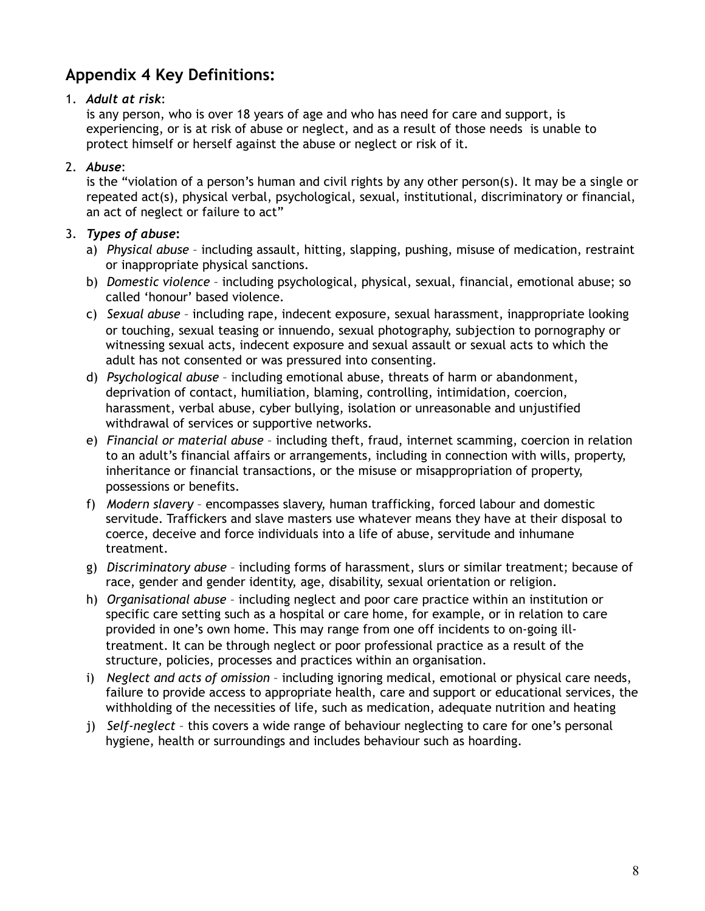# **Appendix 4 Key Definitions:**

#### 1. *Adult at risk*:

is any person, who is over 18 years of age and who has need for care and support, is experiencing, or is at risk of abuse or neglect, and as a result of those needs is unable to protect himself or herself against the abuse or neglect or risk of it.

#### 2. *Abuse*:

is the "violation of a person's human and civil rights by any other person(s). It may be a single or repeated act(s), physical verbal, psychological, sexual, institutional, discriminatory or financial, an act of neglect or failure to act"

#### 3. *Types of abuse***:**

- a) *Physical abuse* including assault, hitting, slapping, pushing, misuse of medication, restraint or inappropriate physical sanctions.
- b) *Domestic violence* including psychological, physical, sexual, financial, emotional abuse; so called 'honour' based violence.
- c) *Sexual abuse* including rape, indecent exposure, sexual harassment, inappropriate looking or touching, sexual teasing or innuendo, sexual photography, subjection to pornography or witnessing sexual acts, indecent exposure and sexual assault or sexual acts to which the adult has not consented or was pressured into consenting.
- d) *Psychological abuse* including emotional abuse, threats of harm or abandonment, deprivation of contact, humiliation, blaming, controlling, intimidation, coercion, harassment, verbal abuse, cyber bullying, isolation or unreasonable and unjustified withdrawal of services or supportive networks.
- e) *Financial or material abuse* including theft, fraud, internet scamming, coercion in relation to an adult's financial affairs or arrangements, including in connection with wills, property, inheritance or financial transactions, or the misuse or misappropriation of property, possessions or benefits.
- f) *Modern slavery* encompasses slavery, human trafficking, forced labour and domestic servitude. Traffickers and slave masters use whatever means they have at their disposal to coerce, deceive and force individuals into a life of abuse, servitude and inhumane treatment.
- g) *Discriminatory abuse* including forms of harassment, slurs or similar treatment; because of race, gender and gender identity, age, disability, sexual orientation or religion.
- h) *Organisational abuse* including neglect and poor care practice within an institution or specific care setting such as a hospital or care home, for example, or in relation to care provided in one's own home. This may range from one off incidents to on-going illtreatment. It can be through neglect or poor professional practice as a result of the structure, policies, processes and practices within an organisation.
- i) *Neglect and acts of omission* including ignoring medical, emotional or physical care needs, failure to provide access to appropriate health, care and support or educational services, the withholding of the necessities of life, such as medication, adequate nutrition and heating
- j) *Self-neglect* this covers a wide range of behaviour neglecting to care for one's personal hygiene, health or surroundings and includes behaviour such as hoarding.